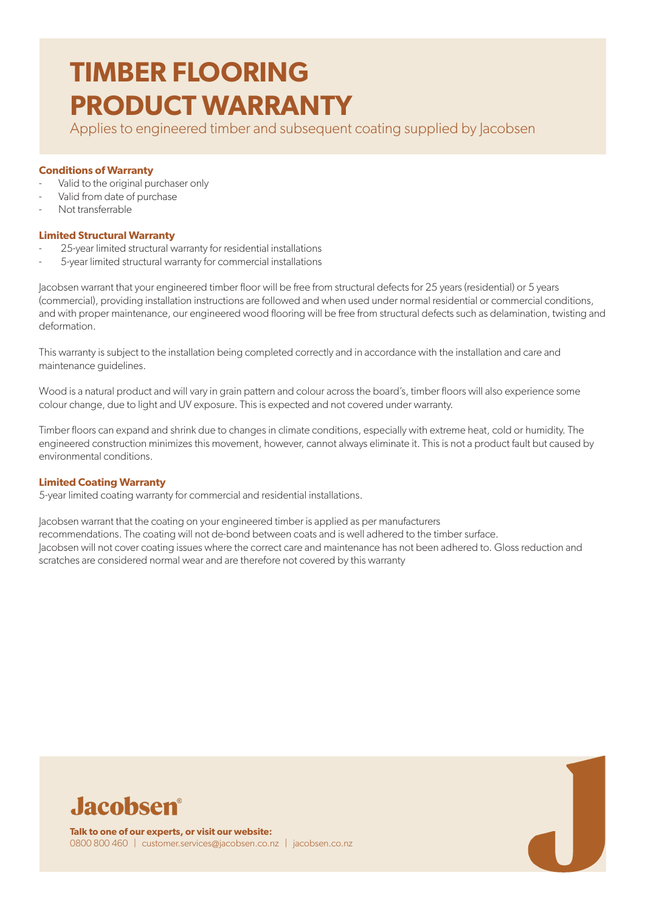Applies to engineered timber and subsequent coating supplied by Jacobsen

#### **Conditions of Warranty**

- Valid to the original purchaser only
- Valid from date of purchase
- Not transferrable

# **Limited Structural Warranty**

- 25-year limited structural warranty for residential installations
- 5-year limited structural warranty for commercial installations

Jacobsen warrant that your engineered timber floor will be free from structural defects for 25 years (residential) or 5 years (commercial), providing installation instructions are followed and when used under normal residential or commercial conditions, and with proper maintenance, our engineered wood flooring will be free from structural defects such as delamination, twisting and deformation.

This warranty is subject to the installation being completed correctly and in accordance with the installation and care and maintenance guidelines.

Wood is a natural product and will vary in grain pattern and colour across the board's, timber floors will also experience some colour change, due to light and UV exposure. This is expected and not covered under warranty.

Timber floors can expand and shrink due to changes in climate conditions, especially with extreme heat, cold or humidity. The engineered construction minimizes this movement, however, cannot always eliminate it. This is not a product fault but caused by environmental conditions.

# **Limited Coating Warranty**

5-year limited coating warranty for commercial and residential installations.

Jacobsen warrant that the coating on your engineered timber is applied as per manufacturers recommendations. The coating will not de-bond between coats and is well adhered to the timber surface. Jacobsen will not cover coating issues where the correct care and maintenance has not been adhered to. Gloss reduction and scratches are considered normal wear and are therefore not covered by this warranty



**Talk to one of our experts, or visit our website:** 0800 800 460 | customer.services@jacobsen.co.nz | jacobsen.co.nz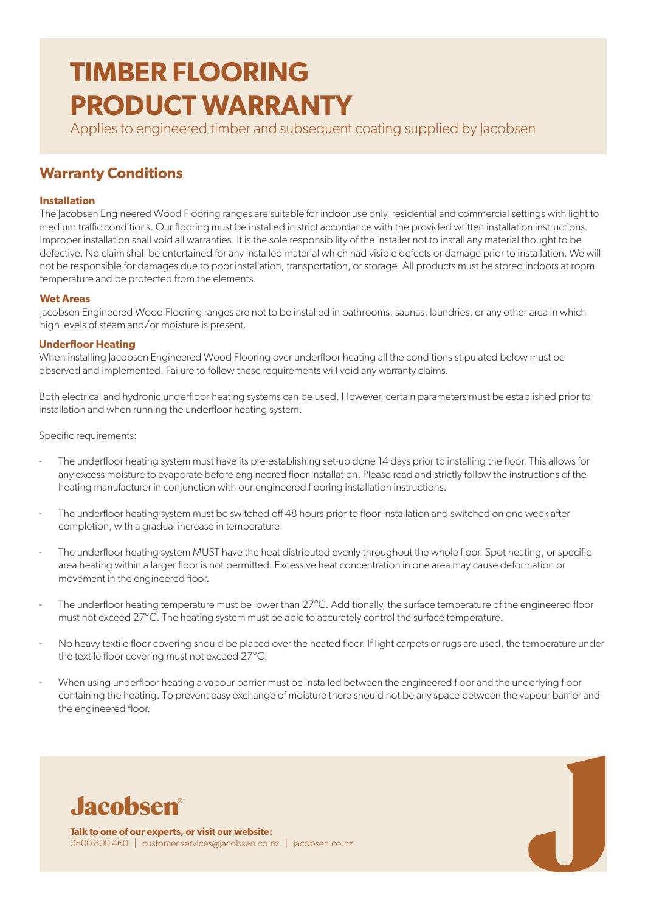Applies to engineered timber and subsequent coating supplied by Jacobsen

# **Warranty Conditions**

## **Installation**

The Jacobsen Engineered Wood Flooring ranges are suitable for indoor use only, residential and commercial settings with light to medium traffic conditions. Our flooring must be installed in strict accordance with the provided written installation instructions. Improper installation shall void all warranties. It is the sole responsibility of the installer not to install any material thought to be defective. No claim shall be entertained for any installed material which had visible defects or damage prior to installation. We will not be responsible for damages due to poor installation, transportation, or storage. All products must be stored indoors at room temperature and be protected from the elements.

## **Wet Areas**

Jacobsen Engineered Wood Flooring ranges are not to be installed in bathrooms, saunas, laundries, or any other area in which high levels of steam and/or moisture is present.

## **Underfloor Heating**

When installing Jacobsen Engineered Wood Flooring over underfloor heating all the conditions stipulated below must be observed and implemented. Failure to follow these requirements will void any warranty claims.

Both electrical and hydronic underfloor heating systems can be used. However, certain parameters must be established prior to installation and when running the underfloor heating system.

Specific requirements:

- The underfloor heating system must have its pre-establishing set-up done 14 days prior to installing the floor. This allows for any excess moisture to evaporate before engineered floor installation. Please read and strictly follow the instructions of the heating manufacturer in conjunction with our engineered flooring installation instructions.
- The underfloor heating system must be switched off 48 hours prior to floor installation and switched on one week after completion, with a gradual increase in temperature.
- The underfloor heating system MUST have the heat distributed evenly throughout the whole floor. Spot heating, or specific area heating within a larger floor is not permitted. Excessive heat concentration in one area may cause deformation or movement in the engineered floor.
- The underfloor heating temperature must be lower than 27°C. Additionally, the surface temperature of the engineered floor must not exceed 27°C. The heating system must be able to accurately control the surface temperature.
- No heavy textile floor covering should be placed over the heated floor. If light carpets or rugs are used, the temperature under the textile floor covering must not exceed 27°C.
- When using underfloor heating a vapour barrier must be installed between the engineered floor and the underlying floor containing the heating. To prevent easy exchange of moisture there should not be any space between the vapour barrier and the engineered floor.



**Talk to one of our experts, or visit our website:** 0800 800 460 | customer.services@jacobsen.co.nz | jacobsen.co.nz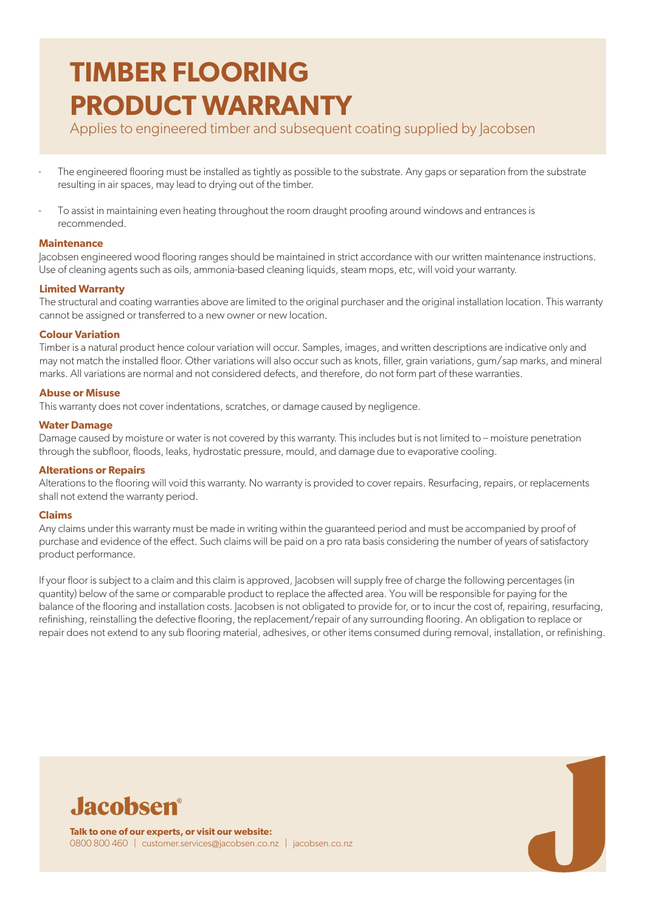Applies to engineered timber and subsequent coating supplied by Jacobsen

- The engineered flooring must be installed as tightly as possible to the substrate. Any gaps or separation from the substrate resulting in air spaces, may lead to drying out of the timber.
- To assist in maintaining even heating throughout the room draught proofing around windows and entrances is recommended.

## **Maintenance**

Jacobsen engineered wood flooring ranges should be maintained in strict accordance with our written maintenance instructions. Use of cleaning agents such as oils, ammonia-based cleaning liquids, steam mops, etc, will void your warranty.

# **Limited Warranty**

The structural and coating warranties above are limited to the original purchaser and the original installation location. This warranty cannot be assigned or transferred to a new owner or new location.

## **Colour Variation**

Timber is a natural product hence colour variation will occur. Samples, images, and written descriptions are indicative only and may not match the installed floor. Other variations will also occur such as knots, filler, grain variations, gum/sap marks, and mineral marks. All variations are normal and not considered defects, and therefore, do not form part of these warranties.

## **Abuse or Misuse**

This warranty does not cover indentations, scratches, or damage caused by negligence.

#### **Water Damage**

Damage caused by moisture or water is not covered by this warranty. This includes but is not limited to – moisture penetration through the subfloor, floods, leaks, hydrostatic pressure, mould, and damage due to evaporative cooling.

#### **Alterations or Repairs**

Alterations to the flooring will void this warranty. No warranty is provided to cover repairs. Resurfacing, repairs, or replacements shall not extend the warranty period.

#### **Claims**

Any claims under this warranty must be made in writing within the guaranteed period and must be accompanied by proof of purchase and evidence of the effect. Such claims will be paid on a pro rata basis considering the number of years of satisfactory product performance.

If your floor is subject to a claim and this claim is approved, Jacobsen will supply free of charge the following percentages (in quantity) below of the same or comparable product to replace the affected area. You will be responsible for paying for the balance of the flooring and installation costs. Jacobsen is not obligated to provide for, or to incur the cost of, repairing, resurfacing, refinishing, reinstalling the defective flooring, the replacement/repair of any surrounding flooring. An obligation to replace or repair does not extend to any sub flooring material, adhesives, or other items consumed during removal, installation, or refinishing.



**Talk to one of our experts, or visit our website:** 0800 800 460 | customer.services@jacobsen.co.nz | jacobsen.co.nz